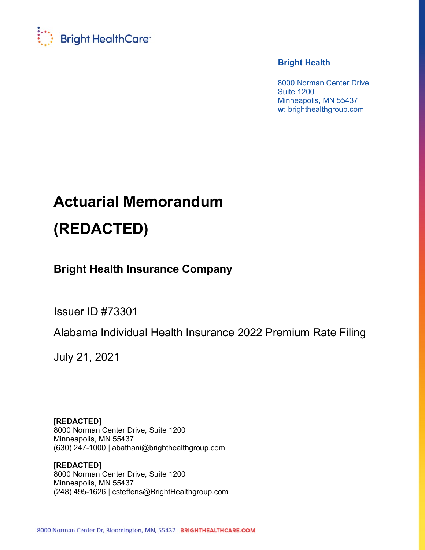

#### **Bright Health**

8000 Norman Center Drive Suite 1200 Minneapolis, MN 55437 **w**: brighthealthgroup.com

# **Actuarial Memorandum (REDACTED)**

**Bright Health Insurance Company**

Issuer ID #73301

Alabama Individual Health Insurance 2022 Premium Rate Filing

July 21, 2021

**[REDACTED]** 8000 Norman Center Drive, Suite 1200 Minneapolis, MN 55437 (630) 247-1000 | abathani@brighthealthgroup.com

**[REDACTED]** 8000 Norman Center Drive, Suite 1200 Minneapolis, MN 55437 (248) 495-1626 | csteffens@BrightHealthgroup.com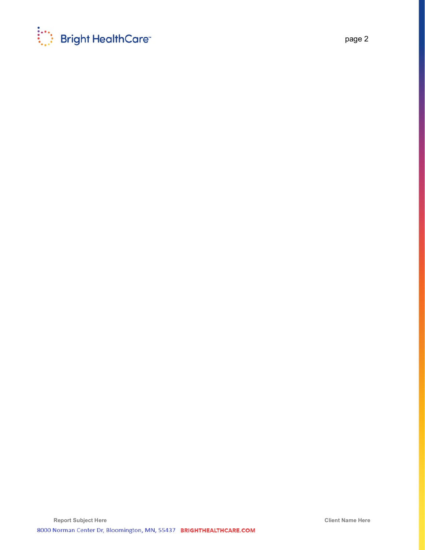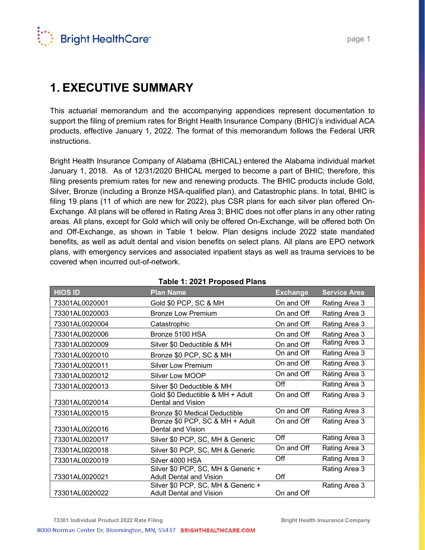

# **1. EXECUTIVE SUMMARY**

This actuarial memorandum and the accompanying appendices represent documentation to support the filing of premium rates for Bright Health Insurance Company (BHIC)'s individual ACA products, effective January 1, 2022. The format of this memorandum follows the Federal URR instructions.

Bright Health Insurance Company of Alabama (BHICAL) entered the Alabama individual market January 1, 2018. As of 12/31/2020 BHICAL merged to become a part of BHIC; therefore, this filing presents premium rates for new and renewing products. The BHIC products include Gold, Silver, Bronze (including a Bronze HSA-qualified plan), and Catastrophic plans. In total, BHIC is filing 19 plans (11 of which are new for 2022), plus CSR plans for each silver plan offered On-Exchange. All plans will be offered in Rating Area 3; BHIC does not offer plans in any other rating areas. All plans, except for Gold which will only be offered On-Exchange, will be offered both On and Off-Exchange, as shown in Table 1 below. Plan designs include 2022 state mandated benefits, as well as adult dental and vision benefits on select plans. All plans are EPO network plans, with emergency services and associated inpatient stays as well as trauma services to be covered when incurred out-of-network.

| <b>HIOS ID</b> | <b>Plan Name</b>                                                     | <b>Exchange</b> | <b>Service Area</b> |
|----------------|----------------------------------------------------------------------|-----------------|---------------------|
| 73301AL0020001 | Gold \$0 PCP, SC & MH                                                | On and Off      | Rating Area 3       |
| 73301AL0020003 | <b>Bronze Low Premium</b>                                            | On and Off      | Rating Area 3       |
| 73301AL0020004 | Catastrophic                                                         | On and Off      | Rating Area 3       |
| 73301AL0020006 | Bronze 5100 HSA                                                      | On and Off      | Rating Area 3       |
| 73301AL0020009 | Silver \$0 Deductible & MH                                           | On and Off      | Rating Area 3       |
| 73301AL0020010 | Bronze \$0 PCP, SC & MH                                              | On and Off      | Rating Area 3       |
| 73301AL0020011 | <b>Silver Low Premium</b>                                            | On and Off      | Rating Area 3       |
| 73301AL0020012 | Silver Low MOOP                                                      | On and Off      | Rating Area 3       |
| 73301AL0020013 | Silver \$0 Deductible & MH                                           | Off.            | Rating Area 3       |
| 73301AL0020014 | Gold \$0 Deductible & MH + Adult<br>Dental and Vision                | On and Off      | Rating Area 3       |
| 73301AL0020015 | Bronze \$0 Medical Deductible                                        | On and Off      | Rating Area 3       |
| 73301AL0020016 | Bronze \$0 PCP, SC & MH + Adult<br>Dental and Vision                 | On and Off      | Rating Area 3       |
| 73301AL0020017 | Silver \$0 PCP, SC, MH & Generic                                     | Off             | Rating Area 3       |
| 73301AL0020018 | Silver \$0 PCP, SC, MH & Generic                                     | On and Off      | Rating Area 3       |
| 73301AL0020019 | Silver 4000 HSA                                                      | Off             | Rating Area 3       |
| 73301AL0020021 | Silver \$0 PCP, SC, MH & Generic +<br><b>Adult Dental and Vision</b> | Off             | Rating Area 3       |
| 73301AL0020022 | Silver \$0 PCP, SC, MH & Generic +<br><b>Adult Dental and Vision</b> | On and Off      | Rating Area 3       |

#### **Table 1: 2021 Proposed Plans**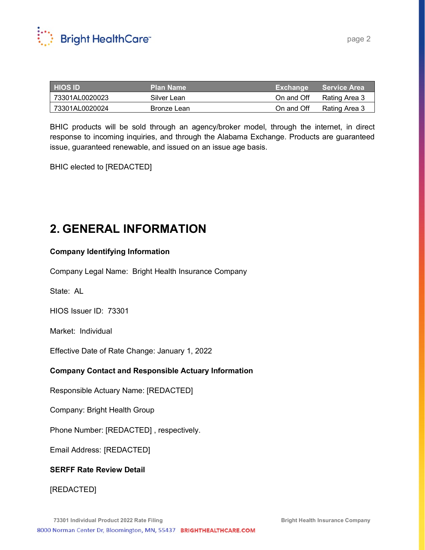

| <b>HIOS ID</b> | <b>Plan Name</b> | <b>Exchange</b> | <b>Service Area</b> |
|----------------|------------------|-----------------|---------------------|
| 73301AL0020023 | Silver Lean      | On and Off      | Rating Area 3       |
| 73301AL0020024 | Bronze Lean      | On and Off      | Rating Area 3       |

BHIC products will be sold through an agency/broker model, through the internet, in direct response to incoming inquiries, and through the Alabama Exchange. Products are guaranteed issue, guaranteed renewable, and issued on an issue age basis.

BHIC elected to [REDACTED]

# **2. GENERAL INFORMATION**

#### **Company Identifying Information**

Company Legal Name: Bright Health Insurance Company

State: AL

HIOS Issuer ID: 73301

Market: Individual

Effective Date of Rate Change: January 1, 2022

#### **Company Contact and Responsible Actuary Information**

Responsible Actuary Name: [REDACTED]

Company: Bright Health Group

Phone Number: [REDACTED] , respectively.

Email Address: [REDACTED]

#### **SERFF Rate Review Detail**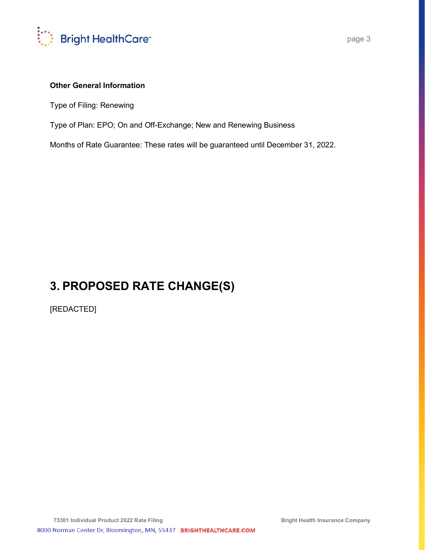

#### **Other General Information**

Type of Filing: Renewing

Type of Plan: EPO; On and Off-Exchange; New and Renewing Business

Months of Rate Guarantee: These rates will be guaranteed until December 31, 2022.

# **3. PROPOSED RATE CHANGE(S)**

[REDACTED]

page 3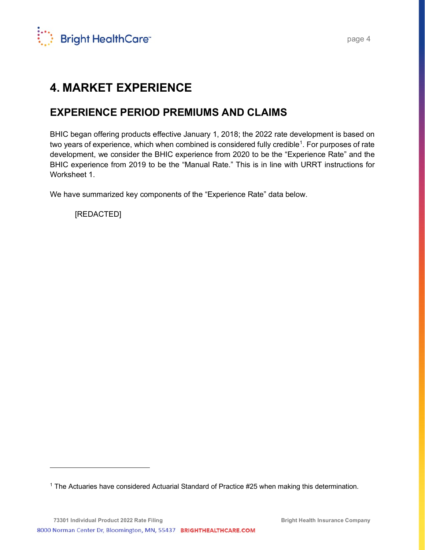

# **4. MARKET EXPERIENCE**

# **EXPERIENCE PERIOD PREMIUMS AND CLAIMS**

BHIC began offering products effective January 1, 2018; the 2022 rate development is based on two years of experience, which when combined is considered fully credible $^{\rm 1}$  $^{\rm 1}$  $^{\rm 1}$ . For purposes of rate development, we consider the BHIC experience from 2020 to be the "Experience Rate" and the BHIC experience from 2019 to be the "Manual Rate." This is in line with URRT instructions for Worksheet 1

We have summarized key components of the "Experience Rate" data below.

<span id="page-5-0"></span><sup>&</sup>lt;sup>1</sup> The Actuaries have considered Actuarial Standard of Practice #25 when making this determination.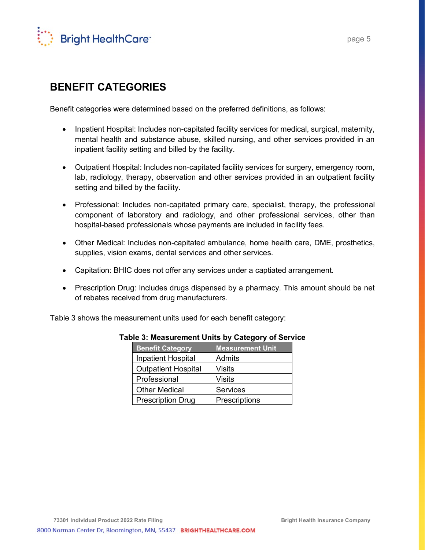

# **BENEFIT CATEGORIES**

Benefit categories were determined based on the preferred definitions, as follows:

- Inpatient Hospital: Includes non-capitated facility services for medical, surgical, maternity, mental health and substance abuse, skilled nursing, and other services provided in an inpatient facility setting and billed by the facility.
- Outpatient Hospital: Includes non-capitated facility services for surgery, emergency room, lab, radiology, therapy, observation and other services provided in an outpatient facility setting and billed by the facility.
- Professional: Includes non-capitated primary care, specialist, therapy, the professional component of laboratory and radiology, and other professional services, other than hospital-based professionals whose payments are included in facility fees.
- Other Medical: Includes non-capitated ambulance, home health care, DME, prosthetics, supplies, vision exams, dental services and other services.
- Capitation: BHIC does not offer any services under a captiated arrangement.
- Prescription Drug: Includes drugs dispensed by a pharmacy. This amount should be net of rebates received from drug manufacturers.

Table 3 shows the measurement units used for each benefit category:

| <b>Benefit Category</b>    | <b>Measurement Unit</b> |  |  |
|----------------------------|-------------------------|--|--|
| <b>Inpatient Hospital</b>  | Admits                  |  |  |
| <b>Outpatient Hospital</b> | <b>Visits</b>           |  |  |
| Professional               | Visits                  |  |  |
| <b>Other Medical</b>       | <b>Services</b>         |  |  |
| <b>Prescription Drug</b>   | Prescriptions           |  |  |

#### **Table 3: Measurement Units by Category of Service**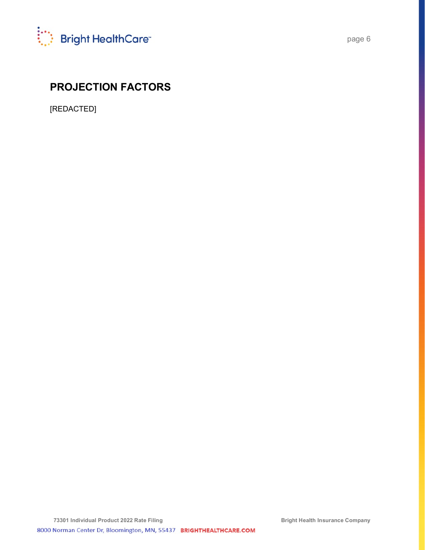

# **PROJECTION FACTORS**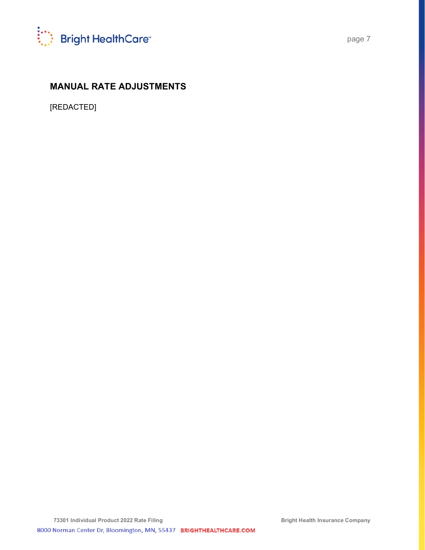

### **MANUAL RATE ADJUSTMENTS**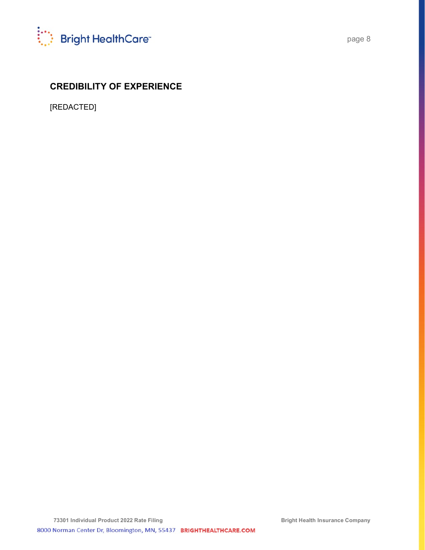

### **CREDIBILITY OF EXPERIENCE**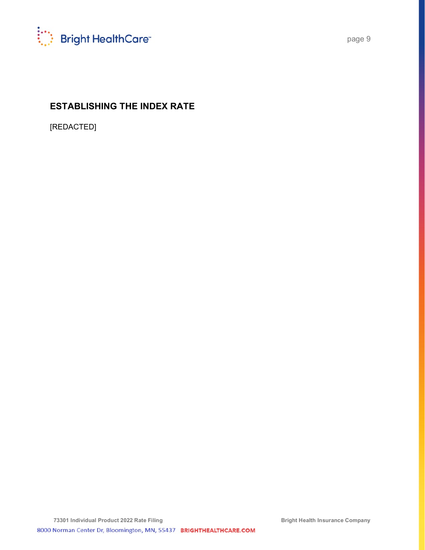

# **ESTABLISHING THE INDEX RATE**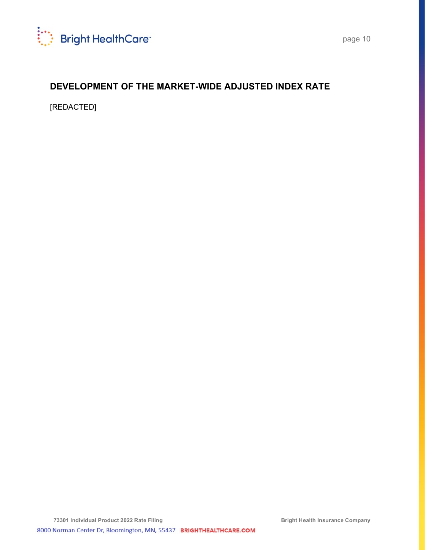

### **DEVELOPMENT OF THE MARKET-WIDE ADJUSTED INDEX RATE**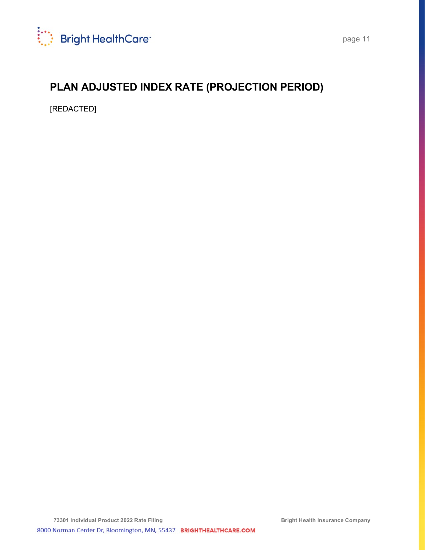

# **PLAN ADJUSTED INDEX RATE (PROJECTION PERIOD)**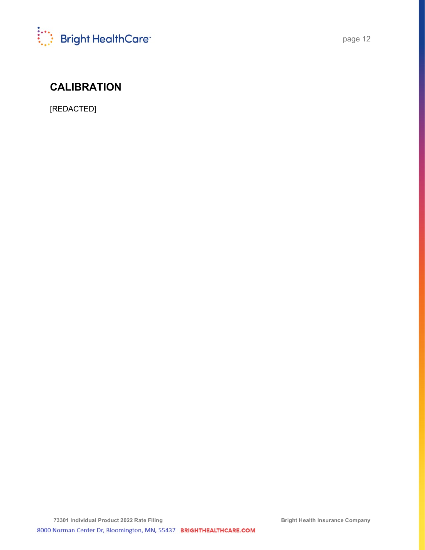

# **CALIBRATION**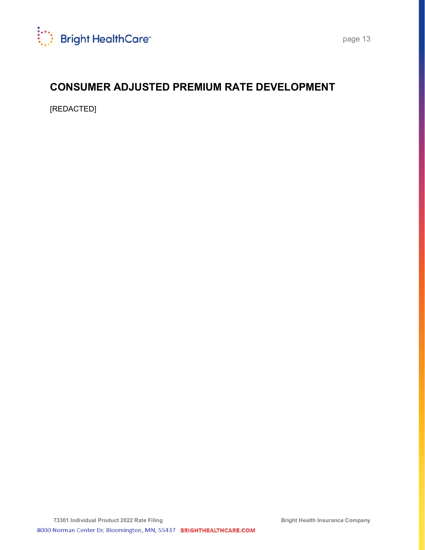

# **CONSUMER ADJUSTED PREMIUM RATE DEVELOPMENT**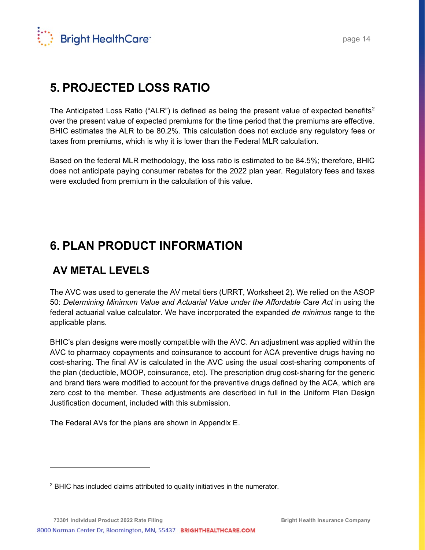

# **5. PROJECTED LOSS RATIO**

The Anticipated Loss Ratio ("ALR") is defined as being the present value of expected benefits<sup>[2](#page-15-0)</sup> over the present value of expected premiums for the time period that the premiums are effective. BHIC estimates the ALR to be 80.2%. This calculation does not exclude any regulatory fees or taxes from premiums, which is why it is lower than the Federal MLR calculation.

Based on the federal MLR methodology, the loss ratio is estimated to be 84.5%; therefore, BHIC does not anticipate paying consumer rebates for the 2022 plan year. Regulatory fees and taxes were excluded from premium in the calculation of this value.

# **6. PLAN PRODUCT INFORMATION**

# **AV METAL LEVELS**

The AVC was used to generate the AV metal tiers (URRT, Worksheet 2). We relied on the ASOP 50: *Determining Minimum Value and Actuarial Value under the Affordable Care Act in using the* federal actuarial value calculator. We have incorporated the expanded *de minimus* range to the applicable plans.

BHIC's plan designs were mostly compatible with the AVC. An adjustment was applied within the AVC to pharmacy copayments and coinsurance to account for ACA preventive drugs having no cost-sharing. The final AV is calculated in the AVC using the usual cost-sharing components of the plan (deductible, MOOP, coinsurance, etc). The prescription drug cost-sharing for the generic and brand tiers were modified to account for the preventive drugs defined by the ACA, which are zero cost to the member. These adjustments are described in full in the Uniform Plan Design Justification document, included with this submission.

The Federal AVs for the plans are shown in Appendix E.

<span id="page-15-0"></span><sup>2</sup> BHIC has included claims attributed to quality initiatives in the numerator.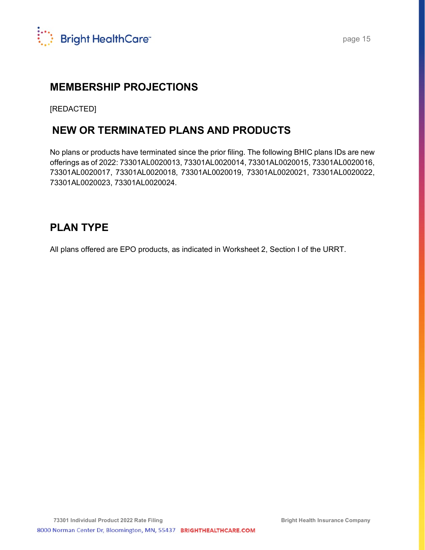

# **MEMBERSHIP PROJECTIONS**

[REDACTED]

# **NEW OR TERMINATED PLANS AND PRODUCTS**

No plans or products have terminated since the prior filing. The following BHIC plans IDs are new offerings as of 2022: 73301AL0020013, 73301AL0020014, 73301AL0020015, 73301AL0020016, 73301AL0020017, 73301AL0020018, 73301AL0020019, 73301AL0020021, 73301AL0020022, 73301AL0020023, 73301AL0020024.

# **PLAN TYPE**

All plans offered are EPO products, as indicated in Worksheet 2, Section I of the URRT.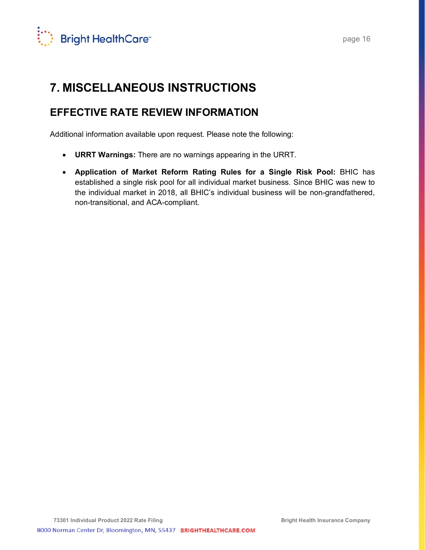

# **7. MISCELLANEOUS INSTRUCTIONS**

### **EFFECTIVE RATE REVIEW INFORMATION**

Additional information available upon request. Please note the following:

- **URRT Warnings:** There are no warnings appearing in the URRT.
- **Application of Market Reform Rating Rules for a Single Risk Pool:** BHIC has established a single risk pool for all individual market business. Since BHIC was new to the individual market in 2018, all BHIC's individual business will be non-grandfathered, non-transitional, and ACA-compliant.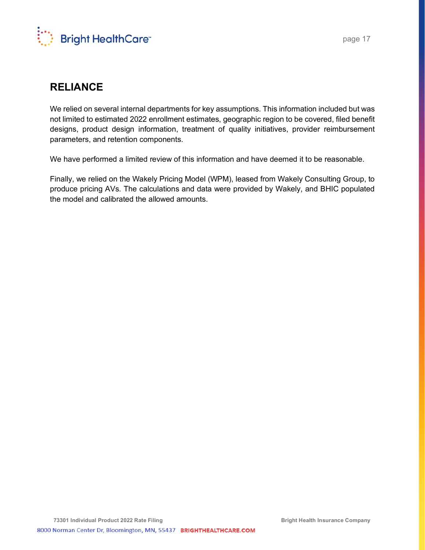

### **RELIANCE**

We relied on several internal departments for key assumptions. This information included but was not limited to estimated 2022 enrollment estimates, geographic region to be covered, filed benefit designs, product design information, treatment of quality initiatives, provider reimbursement parameters, and retention components.

We have performed a limited review of this information and have deemed it to be reasonable.

Finally, we relied on the Wakely Pricing Model (WPM), leased from Wakely Consulting Group, to produce pricing AVs. The calculations and data were provided by Wakely, and BHIC populated the model and calibrated the allowed amounts.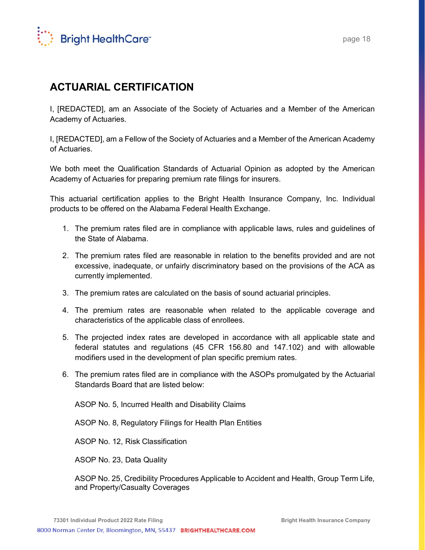

# **ACTUARIAL CERTIFICATION**

I, [REDACTED], am an Associate of the Society of Actuaries and a Member of the American Academy of Actuaries.

I, [REDACTED], am a Fellow of the Society of Actuaries and a Member of the American Academy of Actuaries.

We both meet the Qualification Standards of Actuarial Opinion as adopted by the American Academy of Actuaries for preparing premium rate filings for insurers.

This actuarial certification applies to the Bright Health Insurance Company, Inc. Individual products to be offered on the Alabama Federal Health Exchange.

- 1. The premium rates filed are in compliance with applicable laws, rules and guidelines of the State of Alabama.
- 2. The premium rates filed are reasonable in relation to the benefits provided and are not excessive, inadequate, or unfairly discriminatory based on the provisions of the ACA as currently implemented.
- 3. The premium rates are calculated on the basis of sound actuarial principles.
- 4. The premium rates are reasonable when related to the applicable coverage and characteristics of the applicable class of enrollees.
- 5. The projected index rates are developed in accordance with all applicable state and federal statutes and regulations (45 CFR 156.80 and 147.102) and with allowable modifiers used in the development of plan specific premium rates.
- 6. The premium rates filed are in compliance with the ASOPs promulgated by the Actuarial Standards Board that are listed below:

ASOP No. 5, Incurred Health and Disability Claims

ASOP No. 8, Regulatory Filings for Health Plan Entities

ASOP No. 12, Risk Classification

ASOP No. 23, Data Quality

ASOP No. 25, Credibility Procedures Applicable to Accident and Health, Group Term Life, and Property/Casualty Coverages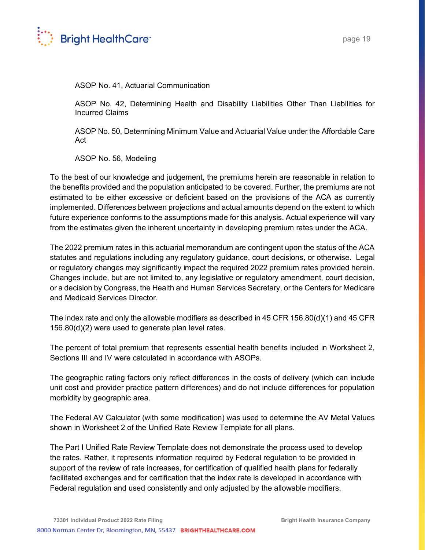

ASOP No. 41, Actuarial Communication

ASOP No. 42, Determining Health and Disability Liabilities Other Than Liabilities for Incurred Claims

ASOP No. 50, Determining Minimum Value and Actuarial Value under the Affordable Care Act

ASOP No. 56, Modeling

To the best of our knowledge and judgement, the premiums herein are reasonable in relation to the benefits provided and the population anticipated to be covered. Further, the premiums are not estimated to be either excessive or deficient based on the provisions of the ACA as currently implemented. Differences between projections and actual amounts depend on the extent to which future experience conforms to the assumptions made for this analysis. Actual experience will vary from the estimates given the inherent uncertainty in developing premium rates under the ACA.

The 2022 premium rates in this actuarial memorandum are contingent upon the status of the ACA statutes and regulations including any regulatory guidance, court decisions, or otherwise. Legal or regulatory changes may significantly impact the required 2022 premium rates provided herein. Changes include, but are not limited to, any legislative or regulatory amendment, court decision, or a decision by Congress, the Health and Human Services Secretary, or the Centers for Medicare and Medicaid Services Director.

The index rate and only the allowable modifiers as described in 45 CFR 156.80(d)(1) and 45 CFR 156.80(d)(2) were used to generate plan level rates.

The percent of total premium that represents essential health benefits included in Worksheet 2, Sections III and IV were calculated in accordance with ASOPs.

The geographic rating factors only reflect differences in the costs of delivery (which can include unit cost and provider practice pattern differences) and do not include differences for population morbidity by geographic area.

The Federal AV Calculator (with some modification) was used to determine the AV Metal Values shown in Worksheet 2 of the Unified Rate Review Template for all plans.

The Part I Unified Rate Review Template does not demonstrate the process used to develop the rates. Rather, it represents information required by Federal regulation to be provided in support of the review of rate increases, for certification of qualified health plans for federally facilitated exchanges and for certification that the index rate is developed in accordance with Federal regulation and used consistently and only adjusted by the allowable modifiers.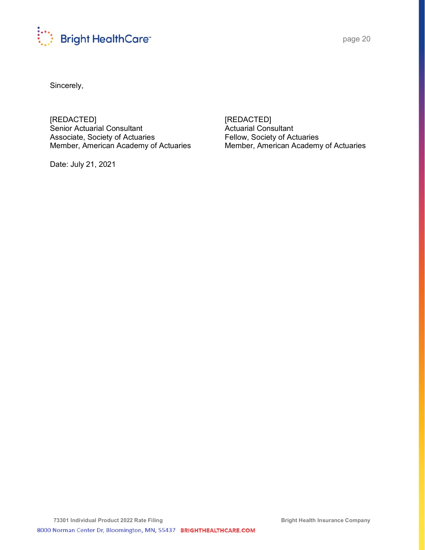

Sincerely,

[REDACTED] [REDACTED] Senior Actuarial Consultant Actuarial Consultant Associate, Society of Actuaries<br>
Member, American Academy of Actuaries<br>
Member, American Academy of Actuaries<br>
Member, American Academy of Actuaries Member, American Academy of Actuaries

Date: July 21, 2021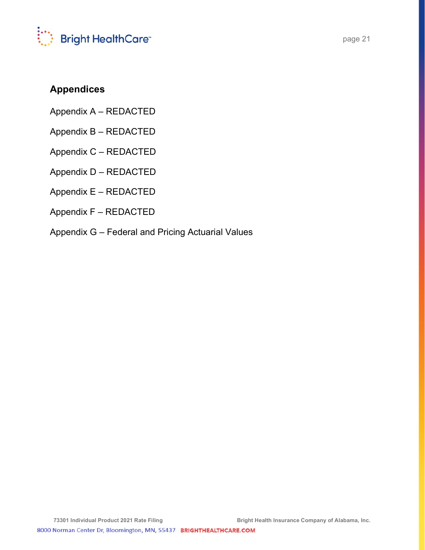

### **Appendices**

- Appendix A REDACTED
- Appendix B REDACTED
- Appendix C REDACTED
- Appendix D REDACTED
- Appendix E REDACTED
- Appendix F REDACTED
- Appendix G Federal and Pricing Actuarial Values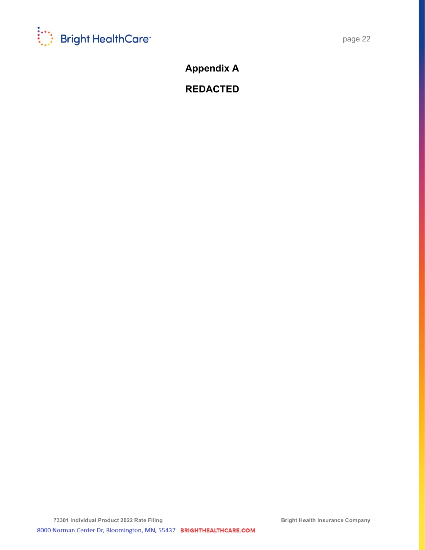

**Appendix A**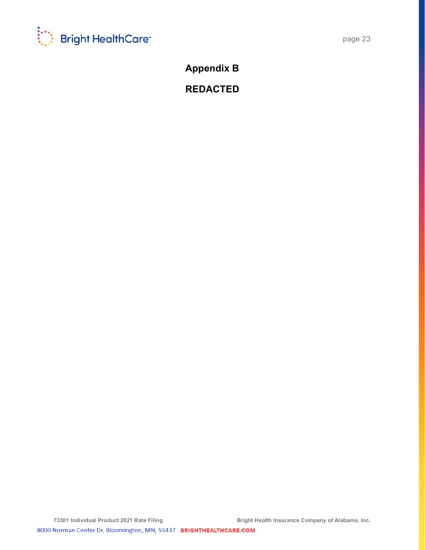

**Appendix B**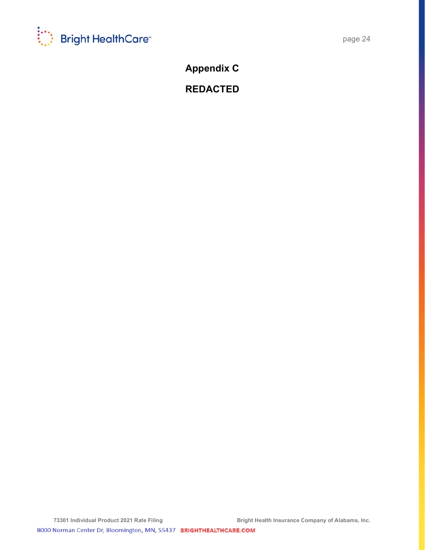

**Appendix C**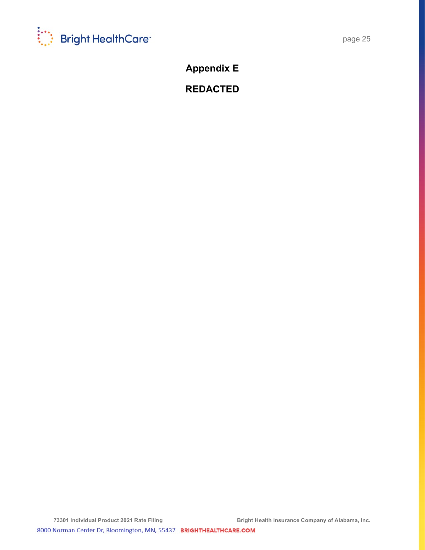

# **Appendix E**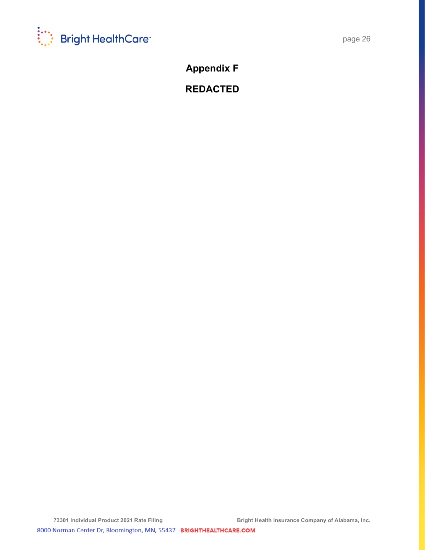

**Appendix F**